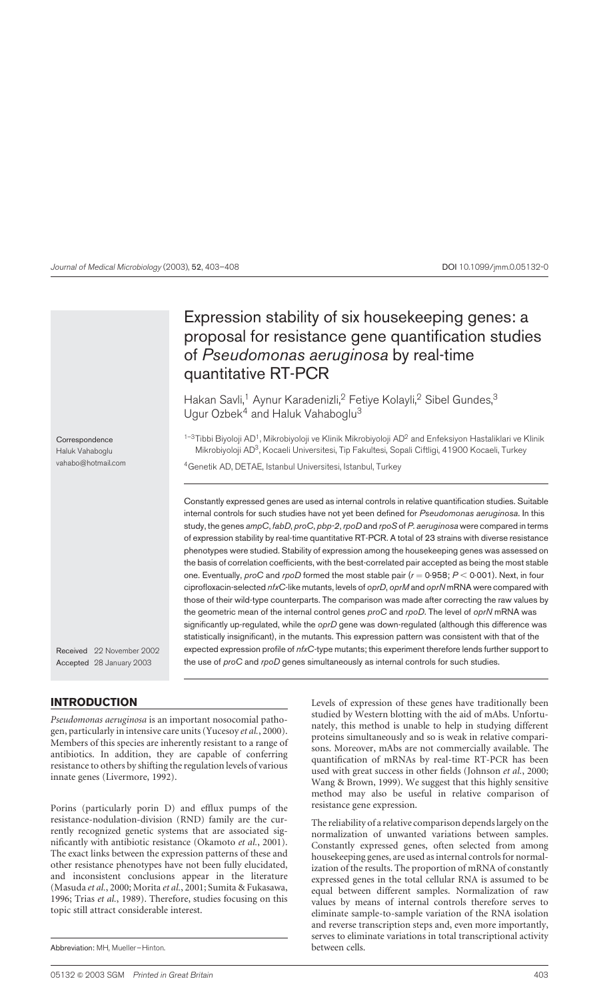# Expression stability of six housekeeping genes: a proposal for resistance gene quantification studies of Pseudomonas aeruginosa by real-time quantitative RT-PCR

Hakan Savli,<sup>1</sup> Aynur Karadenizli,<sup>2</sup> Fetiye Kolayli,<sup>2</sup> Sibel Gundes,<sup>3</sup> Ugur Ozbek<sup>4</sup> and Haluk Vahaboglu<sup>3</sup>

 $1-3$ Tibbi Biyoloji AD<sup>1</sup>, Mikrobiyoloji ve Klinik Mikrobiyoloji AD<sup>2</sup> and Enfeksiyon Hastaliklari ve Klinik Mikrobiyoloji AD3, Kocaeli Universitesi, Tip Fakultesi, Sopali Ciftligi, 41900 Kocaeli, Turkey

4Genetik AD, DETAE, Istanbul Universitesi, Istanbul, Turkey

Constantly expressed genes are used as internal controls in relative quantification studies. Suitable internal controls for such studies have not yet been defined for Pseudomonas aeruginosa. In this study, the genes ampC, fabD, proC, pbp-2, rpoD and rpoS of P. aeruginosa were compared in terms of expression stability by real-time quantitative RT-PCR. A total of 23 strains with diverse resistance phenotypes were studied. Stability of expression among the housekeeping genes was assessed on the basis of correlation coefficients, with the best-correlated pair accepted as being the most stable one. Eventually, proC and rpoD formed the most stable pair ( $r = 0.958$ ;  $P < 0.001$ ). Next, in four ciprofloxacin-selected nfxC-like mutants, levels of oprD, oprM and oprN mRNA were compared with those of their wild-type counterparts. The comparison was made after correcting the raw values by the geometric mean of the internal control genes proC and rpoD. The level of oprN mRNA was significantly up-regulated, while the *oprD* gene was down-regulated (although this difference was statistically insignificant), in the mutants. This expression pattern was consistent with that of the expected expression profile of nfxC-type mutants; this experiment therefore lends further support to the use of proC and rpoD genes simultaneously as internal controls for such studies.

Received 22 November 2002

Accepted 28 January 2003

## INTRODUCTION

Correspondence Haluk Vahaboglu vahabo@hotmail.com

Pseudomonas aeruginosa is an important nosocomial pathogen, particularly in intensive care units [\(Yucesoy](#page-5-0) et al., 2000). Members of this species are inherently resistant to a range of antibiotics. In addition, they are capable of conferring resistance to others by shifting the regulation levels of various innate genes [\(Livermore, 19](#page-5-0)92).

Porins (particularly porin D) and efflux pumps of the resistance-nodulation-division (RND) family are the currently recognized genetic systems that are associated sig-nificantly with antibiotic resistance [\(Okamoto](#page-5-0) et al., 2001). The exact links between the expression patterns of these and other resistance phenotypes have not been fully elucidated, and inconsistent conclusions appear in the literature [\(Masuda](#page-5-0) et al., 2000[; Morita](#page-5-0) et al., 2001[; Sumita & Fuk](#page-5-0)asawa, 1996[; Trias](#page-5-0) et al., 1989). Therefore, studies focusing on this topic still attract considerable interest.

Levels of expression of these genes have traditionally been studied by Western blotting with the aid of mAbs. Unfortunately, this method is unable to help in studying different proteins simultaneously and so is weak in relative comparisons. Moreover, mAbs are not commercially available. The quantification of mRNAs by real-time RT-PCR has been used with great success in other fields [\(Johnson](#page-5-0) et al., 2000; [Wang & Brow](#page-5-0)n, 1999). We suggest that this highly sensitive method may also be useful in relative comparison of resistance gene expression.

The reliability of a relative comparison depends largely on the normalization of unwanted variations between samples. Constantly expressed genes, often selected from among housekeeping genes, are used as internal controls for normalization of the results. The proportion of mRNA of constantly expressed genes in the total cellular RNA is assumed to be equal between different samples. Normalization of raw values by means of internal controls therefore serves to eliminate sample-to-sample variation of the RNA isolation and reverse transcription steps and, even more importantly, serves to eliminate variations in total transcriptional activity

Abbreviation: MH, Mueller–Hinton. between cells.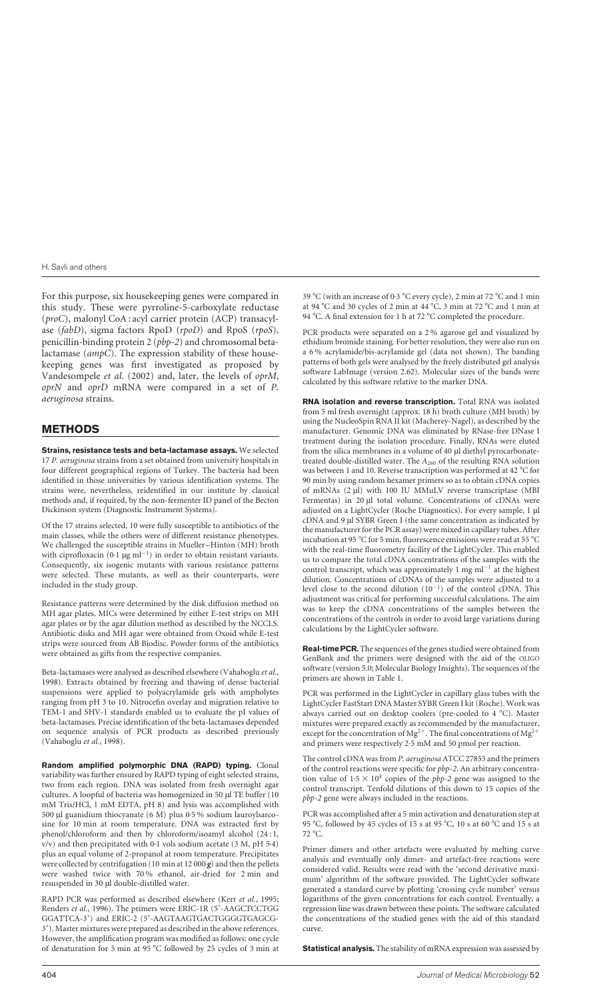For this purpose, six housekeeping genes were compared in this study. These were pyrroline-5-carboxylate reductase (proC), malonyl CoA : acyl carrier protein (ACP) transacylase (fabD), sigma factors RpoD (rpoD) and RpoS (rpoS), penicillin-binding protein 2 (pbp-2) and chromosomal betalactamase (ampC). The expression stability of these housekeeping genes was first investigated as proposed by [Vandesompel](#page-5-0)e et al. (2002) and, later, the levels of oprM, oprN and oprD mRNA were compared in a set of P. aeruginosa strains.

## METHODS

Strains, resistance tests and beta-lactamase assays. We selected 17 P. aeruginosa strains from a set obtained from university hospitals in four different geographical regions of Turkey. The bacteria had been identified in those universities by various identification systems. The strains were, nevertheless, reidentified in our institute by classical methods and, if required, by the non-fermenter ID panel of the Becton Dickinson system (Diagnostic Instrument Systems).

Of the 17 strains selected, 10 were fully susceptible to antibiotics of the main classes, while the others were of different resistance phenotypes. We challenged the susceptible strains in Mueller–Hinton (MH) broth with ciprofloxacin (0·1  $\mu$ g ml<sup>-1</sup>) in order to obtain resistant variants. Consequently, six isogenic mutants with various resistance patterns were selected. These mutants, as well as their counterparts, were included in the study group.

Resistance patterns were determined by the disk diffusion method on MH agar plates. MICs were determined by either E-test strips on MH agar plates or by the agar dilution method as described by the NCCLS. Antibiotic disks and MH agar were obtained from Oxoid while E-test strips were sourced from AB Biodisc. Powder forms of the antibiotics were obtained as gifts from the respective companies.

Beta-lactamases were analysed as described elsewhere [\(Vahaboglu](#page-5-0) et al., 1998). Extracts obtained by freezing and thawing of dense bacterial suspensions were applied to polyacrylamide gels with ampholytes ranging from pH 3 to 10. Nitrocefin overlay and migration relative to TEM-1 and SHV-1 standards enabled us to evaluate the pI values of beta-lactamases. Precise identification of the beta-lactamases depended on sequence analysis of PCR products as described previously [\(Vahaboglu](#page-5-0) et al., 1998).

Random amplified polymorphic DNA (RAPD) typing. Clonal variability was further ensured by RAPD typing of eight selected strains, two from each region. DNA was isolated from fresh overnight agar cultures. A loopful of bacteria was homogenized in 50 µl TE buffer (10 mM Tris/HCl, 1 mM EDTA, pH 8) and lysis was accomplished with 500  $\mu$ l guanidium thiocyanate (6 M) plus 0·5 % sodium lauroylsarcosine for 10 min at room temperature. DNA was extracted first by phenol/chloroform and then by chloroform/isoamyl alcohol (24 : 1, v/v) and then precipitated with 0·1 vols sodium acetate (3 M, pH 5·4) plus an equal volume of 2-propanol at room temperature. Precipitates were collected by centrifugation (10 min at 12 000  $g$ ) and then the pellets were washed twice with 70 % ethanol, air-dried for 2 min and resuspended in 30 µl double-distilled water.

RAPD PCR was performed as described elsewhere (Kerr et al.[, 1995](#page-5-0); [Renders](#page-5-0) et al., 1996). The primers were ERIC-1R (5'-AAGCTCCTGG GGATTCA-3') and ERIC-2 (5'-AAGTAAGTGACTGGGGTGAGCG-3'). Master mixtures were prepared as described in the above references. However, the amplification program was modified as follows: one cycle of denaturation for 5 min at 95  $\degree$ C followed by 25 cycles of 3 min at

39 °C (with an increase of 0·3 °C every cycle), 2 min at 72 °C and 1 min at 94 °C and 30 cycles of 2 min at 44 °C, 3 min at 72 °C and 1 min at 94 °C. A final extension for 1 h at 72 °C completed the procedure.

PCR products were separated on a 2 % agarose gel and visualized by ethidium bromide staining. For better resolution, they were also run on a 6 % acrylamide/bis-acrylamide gel (data not shown). The banding patterns of both gels were analysed by the freely distributed gel analysis software LabImage (version 2.62). Molecular sizes of the bands were calculated by this software relative to the marker DNA.

RNA isolation and reverse transcription. Total RNA was isolated from 5 ml fresh overnight (approx. 18 h) broth culture (MH broth) by using the NucleoSpin RNA II kit (Macherey-Nagel), as described by the manufacturer. Genomic DNA was eliminated by RNase-free DNase I treatment during the isolation procedure. Finally, RNAs were eluted from the silica membranes in a volume of 40 µl diethyl pyrocarbonatetreated double-distilled water. The  $A_{260}$  of the resulting RNA solution was between 1 and 10. Reverse transcription was performed at 42 °C for 90 min by using random hexamer primers so as to obtain cDNA copies of mRNAs (2 µl) with 100 IU MMuLV reverse transcriptase (MBI Fermentas) in 20 µl total volume. Concentrations of cDNAs were adjusted on a LightCycler (Roche Diagnostics). For every sample, 1 µl cDNA and 9 µl SYBR Green I (the same concentration as indicated by the manufacturer for the PCR assay) were mixed in capillary tubes. After incubation at 95 °C for 5 min, fluorescence emissions were read at 55 °C with the real-time fluorometry facility of the LightCycler. This enabled us to compare the total cDNA concentrations of the samples with the control transcript, which was approximately 1 mg  $ml^{-1}$  at the highest dilution. Concentrations of cDNAs of the samples were adjusted to a level close to the second dilution  $(10^{-1})$  of the control cDNA. This adjustment was critical for performing successful calculations. The aim was to keep the cDNA concentrations of the samples between the concentrations of the controls in order to avoid large variations during calculations by the LightCycler software.

**Real-time PCR.** The sequences of the genes studied were obtained from GenBank and the primers were designed with the aid of the OLIGO software (version 5.0; Molecular Biology Insights). The sequences of the primers are shown i[n Table 1.](#page-2-0)

PCR was performed in the LightCycler in capillary glass tubes with the LightCycler FastStart DNA Master SYBR Green I kit (Roche). Work was always carried out on desktop coolers (pre-cooled to 4 °C). Master mixtures were prepared exactly as recommended by the manufacturer, except for the concentration of Mg<sup>2+</sup>. The final concentrations of Mg<sup>2+</sup> and primers were respectively 2·5 mM and 50 pmol per reaction.

The control cDNA was from P. aeruginosa ATCC 27853 and the primers of the control reactions were specific for pbp-2. An arbitrary concentration value of  $1.5 \times 10^4$  copies of the *pbp-2* gene was assigned to the control transcript. Tenfold dilutions of this down to 15 copies of the pbp-2 gene were always included in the reactions.

PCR was accomplished after a 5 min activation and denaturation step at 95 °C, followed by 45 cycles of 15 s at 95 °C, 10 s at 60 °C and 15 s at 72 °C.

Primer dimers and other artefacts were evaluated by melting curve analysis and eventually only dimer- and artefact-free reactions were considered valid. Results were read with the 'second derivative maximum' algorithm of the software provided. The LightCycler software generated a standard curve by plotting 'crossing cycle number' versus logarithms of the given concentrations for each control. Eventually, a regression line was drawn between these points. The software calculated the concentrations of the studied genes with the aid of this standard curve.

**Statistical analysis.** The stability of mRNA expression was assessed by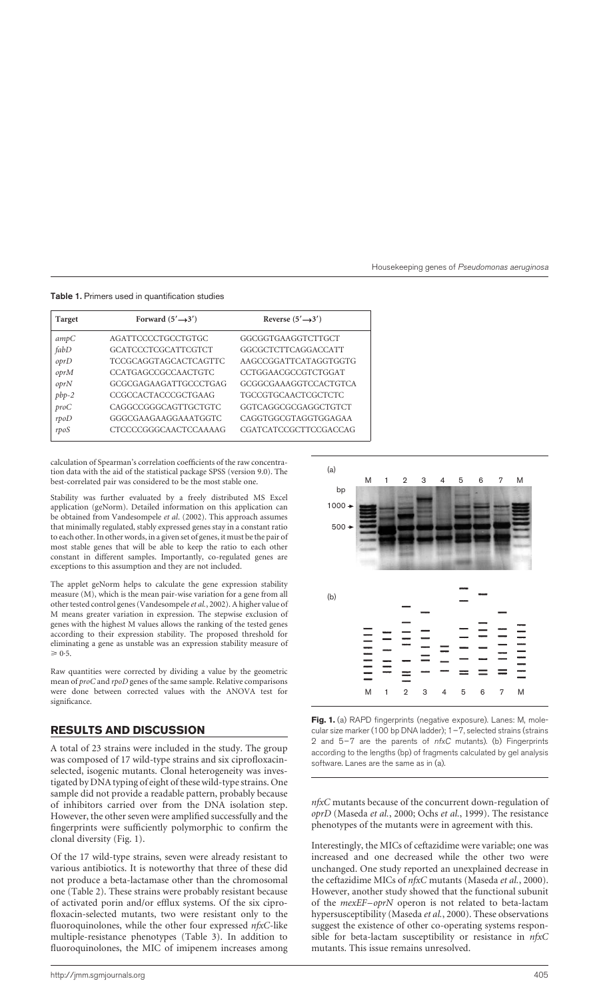| <b>Target</b> | Forward $(5' \rightarrow 3')$ | Reverse $(5' \rightarrow 3')$ |
|---------------|-------------------------------|-------------------------------|
| ampC          | AGATTCCCCTGCCTGTGC            | GGCGGTGAAGGTCTTGCT            |
| fabD          | GCATCCCTCGCATTCGTCT           | GGCGCTCTTCAGGACCATT           |
| oprD          | TCCGCAGGTAGCACTCAGTTC         | AAGCCGGATTCATAGGTGGTG         |
| oprM          | <b>CCATGAGCCGCCAACTGTC</b>    | CCTGGAACGCCGTCTGGAT           |
| oprN          | GCGCGAGAAGATTGCCCTGAG         | GCGGCGAAAGGTCCACTGTCA         |
| $pbp-2$       | CCGCCACTACCCGCTGAAG           | <b>TGCCGTGCAACTCGCTCTC</b>    |
| proC          | CAGGCCGGGCAGTTGCTGTC          | GGTCAGGCGCGAGGCTGTCT          |
| rpoD          | GGGCGAAGAAGGAAATGGTC          | CAGGTGGCGTAGGTGGAGAA          |
| rpoS          | <b>CTCCCCGGGCAACTCCAAAAG</b>  | CGATCATCCGCTTCCGACCAG         |

<span id="page-2-0"></span>Table 1. Primers used in quantification studies

calculation of Spearman's correlation coefficients of the raw concentration data with the aid of the statistical package SPSS (version 9.0). The best-correlated pair was considered to be the most stable one.

Stability was further evaluated by a freely distributed MS Excel application (geNorm). Detailed information on this application can be obtained fro[m Vandesompele](#page-5-0) et al. (2002). This approach assumes that minimally regulated, stably expressed genes stay in a constant ratio to each other. In other words, in a given set of genes, it must be the pair of most stable genes that will be able to keep the ratio to each other constant in different samples. Importantly, co-regulated genes are exceptions to this assumption and they are not included.

The applet geNorm helps to calculate the gene expression stability measure (M), which is the mean pair-wise variation for a gene from all other tested control genes [\(Vandesompele](#page-5-0) et al., 2002). A higher value of M means greater variation in expression. The stepwise exclusion of genes with the highest M values allows the ranking of the tested genes according to their expression stability. The proposed threshold for eliminating a gene as unstable was an expression stability measure of  $\geqslant 0.5$ .

Raw quantities were corrected by dividing a value by the geometric mean of proC and rpoD genes of the same sample. Relative comparisons were done between corrected values with the ANOVA test for significance.

## RESULTS AND DISCUSSION

A total of 23 strains were included in the study. The group was composed of 17 wild-type strains and six ciprofloxacinselected, isogenic mutants. Clonal heterogeneity was investigated by DNA typing of eight of these wild-type strains. One sample did not provide a readable pattern, probably because of inhibitors carried over from the DNA isolation step. However, the other seven were amplified successfully and the fingerprints were sufficiently polymorphic to confirm the clonal diversity (Fig. 1).

Of the 17 wild-type strains, seven were already resistant to various antibiotics. It is noteworthy that three of these did not produce a beta-lactamase other than the chromosomal one [\(Table 2\). T](#page-3-0)hese strains were probably resistant because of activated porin and/or efflux systems. Of the six ciprofloxacin-selected mutants, two were resistant only to the fluoroquinolones, while the other four expressed nfxC-like multiple-resistance phenotypes [\(Table 3\).](#page-3-0) In addition to fluoroquinolones, the MIC of imipenem increases among



Fig. 1. (a) RAPD fingerprints (negative exposure). Lanes: M, molecular size marker (100 bp DNA ladder);  $1-7$ , selected strains (strains 2 and  $5-7$  are the parents of  $nfxC$  mutants). (b) Fingerprints according to the lengths (bp) of fragments calculated by gel analysis software. Lanes are the same as in (a).

nfxC mutants because of the concurrent down-regulation of oprD [\(Maseda](#page-5-0) et al., 2000; [Ochs](#page-5-0) et al., 1999). The resistance phenotypes of the mutants were in agreement with this.

Interestingly, the MICs of ceftazidime were variable; one was increased and one decreased while the other two were unchanged. One study reported an unexplained decrease in the ceftazidime MICs of *nfxC* mutants [\(Maseda](#page-5-0) *et al.*, 2000). However, another study showed that the functional subunit of the mexEF–oprN operon is not related to beta-lactam hypersusceptibility [\(Maseda](#page-5-0) et al., 2000). These observations suggest the existence of other co-operating systems responsible for beta-lactam susceptibility or resistance in  $nfxC$ mutants. This issue remains unresolved.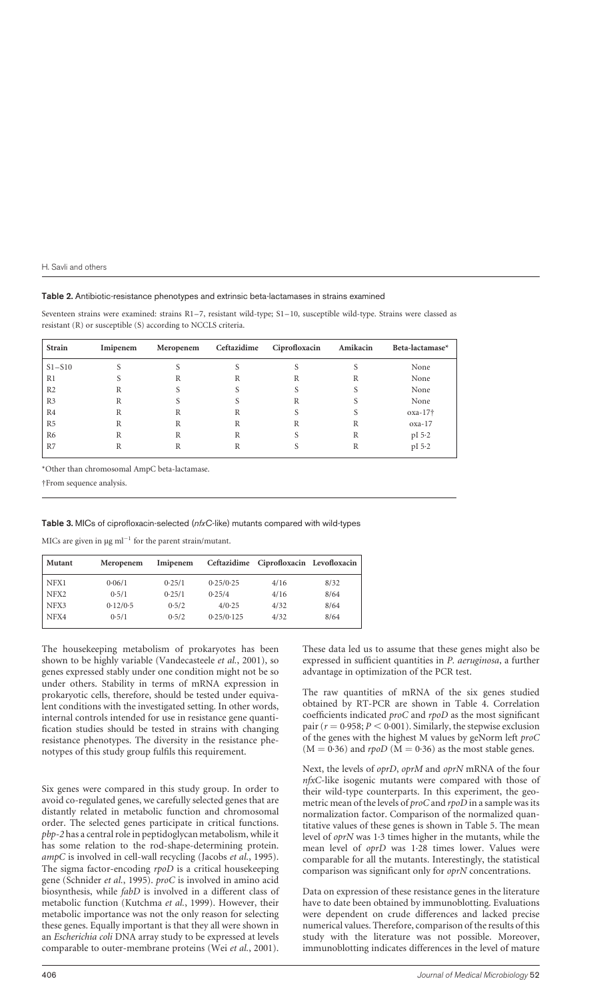#### <span id="page-3-0"></span>Table 2. Antibiotic-resistance phenotypes and extrinsic beta-lactamases in strains examined

Seventeen strains were examined: strains R1–7, resistant wild-type; S1–10, susceptible wild-type. Strains were classed as resistant (R) or susceptible (S) according to NCCLS criteria.

| Strain         | Imipenem | Meropenem | Ceftazidime | Ciprofloxacin | Amikacin | Beta-lactamase* |
|----------------|----------|-----------|-------------|---------------|----------|-----------------|
| $S1 - S10$     |          |           |             |               |          | None            |
| R1             |          | R         | R           | R             | R        | None            |
| R <sub>2</sub> | R        |           |             |               |          | None            |
| R <sub>3</sub> | R        |           |             | R             |          | None            |
| R <sub>4</sub> | R        | R         | R           | S             |          | $oxa-17\dagger$ |
| R <sub>5</sub> | R        | R         | R           | R             | R        | $oxa-17$        |
| R <sub>6</sub> | R        | R         | R           | S.            | R        | pI 5.2          |
| R7             | R        | R         | R           |               | R        | pI 5.2          |

\*Other than chromosomal AmpC beta-lactamase.

†From sequence analysis.

Table 3. MICs of ciprofloxacin-selected (nfxC-like) mutants compared with wild-types

MICs are given in  $\mu$ g ml<sup>-1</sup> for the parent strain/mutant.

| <b>Mutant</b>    | Meropenem | Imipenem |            | Ceftazidime Ciprofloxacin Levofloxacin |      |
|------------------|-----------|----------|------------|----------------------------------------|------|
| NFX1             | 0.06/1    | 0.25/1   | 0.25/0.25  | 4/16                                   | 8/32 |
| NFX <sub>2</sub> | 0.5/1     | 0.25/1   | 0.25/4     | 4/16                                   | 8/64 |
| NFX3             | 0.12/0.5  | 0.5/2    | 4/0.25     | 4/32                                   | 8/64 |
| NFX4             | 0.5/1     | 0.5/2    | 0.25/0.125 | 4/32                                   | 8/64 |

The housekeeping metabolism of prokaryotes has been shown to be highly variable [\(Vandecasteele](#page-5-0) et al., 2001), so genes expressed stably under one condition might not be so under others. Stability in terms of mRNA expression in prokaryotic cells, therefore, should be tested under equivalent conditions with the investigated setting. In other words, internal controls intended for use in resistance gene quantification studies should be tested in strains with changing resistance phenotypes. The diversity in the resistance phenotypes of this study group fulfils this requirement.

Six genes were compared in this study group. In order to avoid co-regulated genes, we carefully selected genes that are distantly related in metabolic function and chromosomal order. The selected genes participate in critical functions. pbp-2 has a central role in peptidoglycan metabolism, while it has some relation to the rod-shape-determining protein. ampC is involved in cell-wall recycling [\(Jacobs](#page-5-0) et al., 1995). The sigma factor-encoding rpoD is a critical housekeeping gene [\(Schnider](#page-5-0) et al., 1995). proC is involved in amino acid biosynthesis, while fabD is involved in a different class of metabolic function [\(Kutchma](#page-5-0) et al., 1999). However, their metabolic importance was not the only reason for selecting these genes. Equally important is that they all were shown in an Escherichia coli DNA array study to be expressed at levels comparable to outer-membrane proteins [\(Wei](#page-5-0) et al., 2001).

These data led us to assume that these genes might also be expressed in sufficient quantities in P. aeruginosa, a further advantage in optimization of the PCR test.

The raw quantities of mRNA of the six genes studied obtained by RT-PCR are shown in [Table 4. C](#page-4-0)orrelation coefficients indicated proC and rpoD as the most significant pair ( $r = 0.958; P < 0.001$ ). Similarly, the stepwise exclusion of the genes with the highest M values by geNorm left proC  $(M = 0.36)$  and rpoD  $(M = 0.36)$  as the most stable genes.

Next, the levels of oprD, oprM and oprN mRNA of the four nfxC-like isogenic mutants were compared with those of their wild-type counterparts. In this experiment, the geometric mean of the levels of  $\text{proC}$  and  $\text{rpoD}$  in a sample was its normalization factor. Comparison of the normalized quantitative values of these genes is shown i[n Table 5. T](#page-4-0)he mean level of oprN was 1·3 times higher in the mutants, while the mean level of oprD was 1·28 times lower. Values were comparable for all the mutants. Interestingly, the statistical comparison was significant only for oprN concentrations.

Data on expression of these resistance genes in the literature have to date been obtained by immunoblotting. Evaluations were dependent on crude differences and lacked precise numerical values. Therefore, comparison of the results of this study with the literature was not possible. Moreover, immunoblotting indicates differences in the level of mature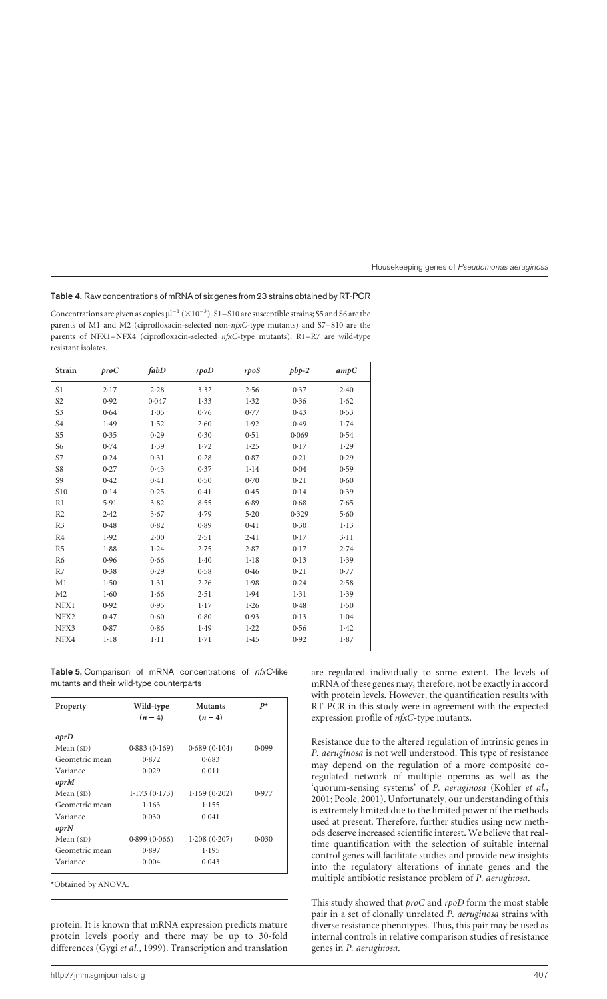## <span id="page-4-0"></span>Table 4. Raw concentrations of mRNA of six genes from 23 strains obtained by RT-PCR

Concentrations are given as copies  $\mu$ <sup>-1</sup> ( $\times$ 10<sup>-3</sup>). S1-S10 are susceptible strains; S5 and S6 are the parents of M1 and M2 (ciprofloxacin-selected non-nfxC-type mutants) and S7–S10 are the parents of NFX1–NFX4 (ciprofloxacin-selected nfxC-type mutants). R1–R7 are wild-type resistant isolates.

| <b>Strain</b>   | $\mathop{\mathit{proC}}$ | fabD     | rpoD     | rpoS     | $pbp-2$ | ampC     |
|-----------------|--------------------------|----------|----------|----------|---------|----------|
| S1              | 2.17                     | 2.28     | 3.32     | 2.56     | 0.37    | 2.40     |
| S <sub>2</sub>  | 0.92                     | 0.047    | 1.33     | 1.32     | 0.36    | 1.62     |
| S3              | 0.64                     | 1.05     | 0.76     | 0.77     | 0.43    | 0.53     |
| S <sub>4</sub>  | 1.49                     | 1.52     | 2.60     | 1.92     | 0.49    | 1.74     |
| S <sub>5</sub>  | 0.35                     | 0.29     | 0.30     | 0.51     | 0.069   | 0.54     |
| S <sub>6</sub>  | 0.74                     | 1.39     | 1.72     | 1.25     | 0.17    | 1.29     |
| S7              | 0.24                     | 0.31     | 0.28     | 0.87     | 0.21    | 0.29     |
| S8              | 0.27                     | 0.43     | 0.37     | 1.14     | 0.04    | 0.59     |
| S <sub>9</sub>  | 0.42                     | 0.41     | 0.50     | 0.70     | 0.21    | 0.60     |
| S <sub>10</sub> | 0.14                     | 0.25     | 0.41     | 0.45     | 0.14    | 0.39     |
| R1              | 5.91                     | 3.82     | 8.55     | 6.89     | 0.68    | 7.65     |
| R <sub>2</sub>  | 2.42                     | 3.67     | 4.79     | 5.20     | 0.329   | 5.60     |
| R <sub>3</sub>  | 0.48                     | 0.82     | 0.89     | 0.41     | 0.30    | $1 - 13$ |
| R <sub>4</sub>  | 1.92                     | $2 - 00$ | 2.51     | 2.41     | 0.17    | $3 - 11$ |
| R <sub>5</sub>  | 1.88                     | 1.24     | 2.75     | 2.87     | 0.17    | 2.74     |
| R <sub>6</sub>  | 0.96                     | 0.66     | 1.40     | $1 - 18$ | 0.13    | 1.39     |
| R7              | 0.38                     | 0.29     | 0.58     | 0.46     | 0.21    | 0.77     |
| M <sub>1</sub>  | 1.50                     | 1.31     | 2.26     | 1.98     | 0.24    | 2.58     |
| M <sub>2</sub>  | 1.60                     | 1.66     | 2.51     | 1.94     | 1.31    | 1.39     |
| NFX1            | 0.92                     | 0.95     | $1 - 17$ | 1.26     | 0.48    | 1.50     |
| NFX2            | 0.47                     | 0.60     | 0.80     | 0.93     | 0.13    | 1.04     |
| NFX3            | 0.87                     | 0.86     | 1.49     | 1.22     | 0.56    | 1.42     |
| NFX4            | $1-18$                   | $1-11$   | 1.71     | 1.45     | 0.92    | 1.87     |

Table 5. Comparison of mRNA concentrations of nfxC-like mutants and their wild-type counterparts

| Property       | Wild-type<br>$(n=4)$ | <b>Mutants</b><br>$(n=4)$ | $P^*$ |
|----------------|----------------------|---------------------------|-------|
| oprD           |                      |                           |       |
| Mean $(SD)$    | 0.883(0.169)         | 0.689(0.104)              | 0.099 |
| Geometric mean | 0.872                | 0.683                     |       |
| Variance       | 0.029                | 0.011                     |       |
| oprM           |                      |                           |       |
| Mean $(SD)$    | 1.173(0.173)         | 1.169(0.202)              | 0.977 |
| Geometric mean | 1.163                | 1.155                     |       |
| Variance       | 0.030                | 0.041                     |       |
| oprN           |                      |                           |       |
| Mean $(SD)$    | 0.899(0.066)         | 1.208(0.207)              | 0.030 |
| Geometric mean | 0.897                | 1.195                     |       |
| Variance       | 0.004                | 0.043                     |       |

\*Obtained by ANOVA.

protein. It is known that mRNA expression predicts mature protein levels poorly and there may be up to 30-fold differences [\(Gygi](#page-5-0) et al., 1999). Transcription and translation are regulated individually to some extent. The levels of mRNA of these genes may, therefore, not be exactly in accord with protein levels. However, the quantification results with RT-PCR in this study were in agreement with the expected expression profile of nfxC-type mutants.

Resistance due to the altered regulation of intrinsic genes in P. aeruginosa is not well understood. This type of resistance may depend on the regulation of a more composite coregulated network of multiple operons as well as the 'quorum-sensing systems' of P. aeruginosa [\(Kohler](#page-5-0) et al., 2001[; Poole, 2001\).](#page-5-0) Unfortunately, our understanding of this is extremely limited due to the limited power of the methods used at present. Therefore, further studies using new methods deserve increased scientific interest. We believe that realtime quantification with the selection of suitable internal control genes will facilitate studies and provide new insights into the regulatory alterations of innate genes and the multiple antibiotic resistance problem of P. aeruginosa.

This study showed that *proC* and *rpoD* form the most stable pair in a set of clonally unrelated P. aeruginosa strains with diverse resistance phenotypes. Thus, this pair may be used as internal controls in relative comparison studies of resistance genes in P. aeruginosa.